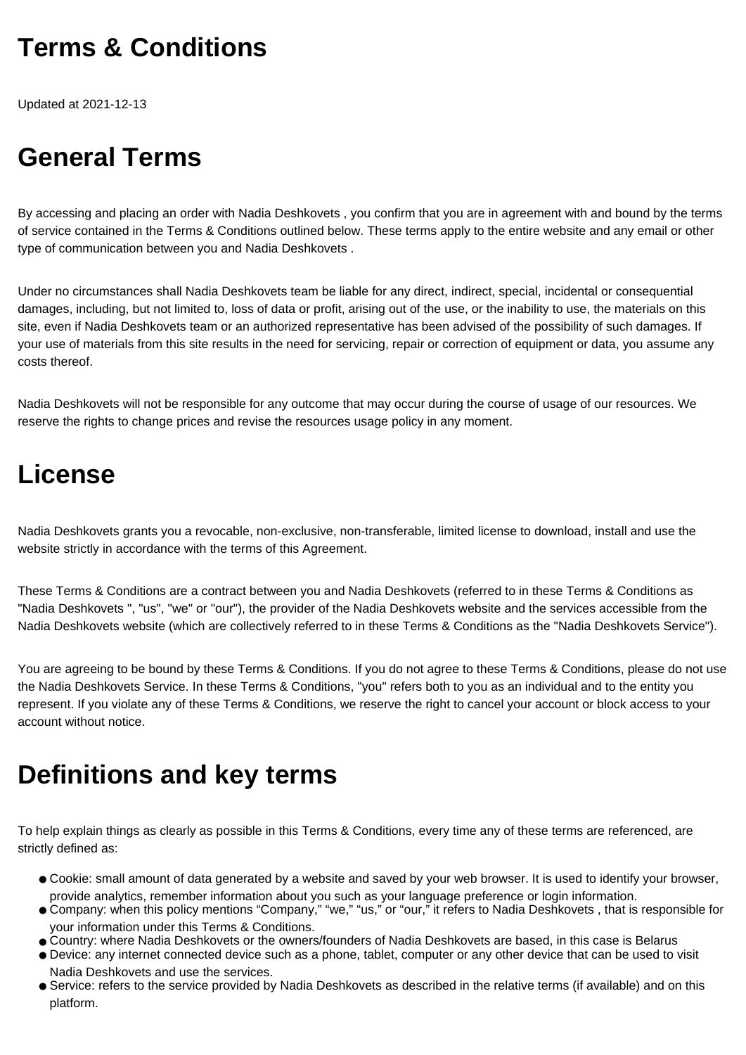## **Terms & Conditions**

Updated at 2021-12-13

# **General Terms**

By accessing and placing an order with Nadia Deshkovets , you confirm that you are in agreement with and bound by the terms of service contained in the Terms & Conditions outlined below. These terms apply to the entire website and any email or other type of communication between you and Nadia Deshkovets .

Under no circumstances shall Nadia Deshkovets team be liable for any direct, indirect, special, incidental or consequential damages, including, but not limited to, loss of data or profit, arising out of the use, or the inability to use, the materials on this site, even if Nadia Deshkovets team or an authorized representative has been advised of the possibility of such damages. If your use of materials from this site results in the need for servicing, repair or correction of equipment or data, you assume any costs thereof.

Nadia Deshkovets will not be responsible for any outcome that may occur during the course of usage of our resources. We reserve the rights to change prices and revise the resources usage policy in any moment.

### **License**

Nadia Deshkovets grants you a revocable, non-exclusive, non-transferable, limited license to download, install and use the website strictly in accordance with the terms of this Agreement.

These Terms & Conditions are a contract between you and Nadia Deshkovets (referred to in these Terms & Conditions as "Nadia Deshkovets ", "us", "we" or "our"), the provider of the Nadia Deshkovets website and the services accessible from the Nadia Deshkovets website (which are collectively referred to in these Terms & Conditions as the "Nadia Deshkovets Service").

You are agreeing to be bound by these Terms & Conditions. If you do not agree to these Terms & Conditions, please do not use the Nadia Deshkovets Service. In these Terms & Conditions, "you" refers both to you as an individual and to the entity you represent. If you violate any of these Terms & Conditions, we reserve the right to cancel your account or block access to your account without notice.

## **Definitions and key terms**

To help explain things as clearly as possible in this Terms & Conditions, every time any of these terms are referenced, are strictly defined as:

- Cookie: small amount of data generated by a website and saved by your web browser. It is used to identify your browser, provide analytics, remember information about you such as your language preference or login information.
- Company: when this policy mentions "Company," "we," "us," or "our," it refers to Nadia Deshkovets, that is responsible for your information under this Terms & Conditions.
- Country: where Nadia Deshkovets or the owners/founders of Nadia Deshkovets are based, in this case is Belarus
- Device: any internet connected device such as a phone, tablet, computer or any other device that can be used to visit Nadia Deshkovets and use the services.
- Service: refers to the service provided by Nadia Deshkovets as described in the relative terms (if available) and on this platform.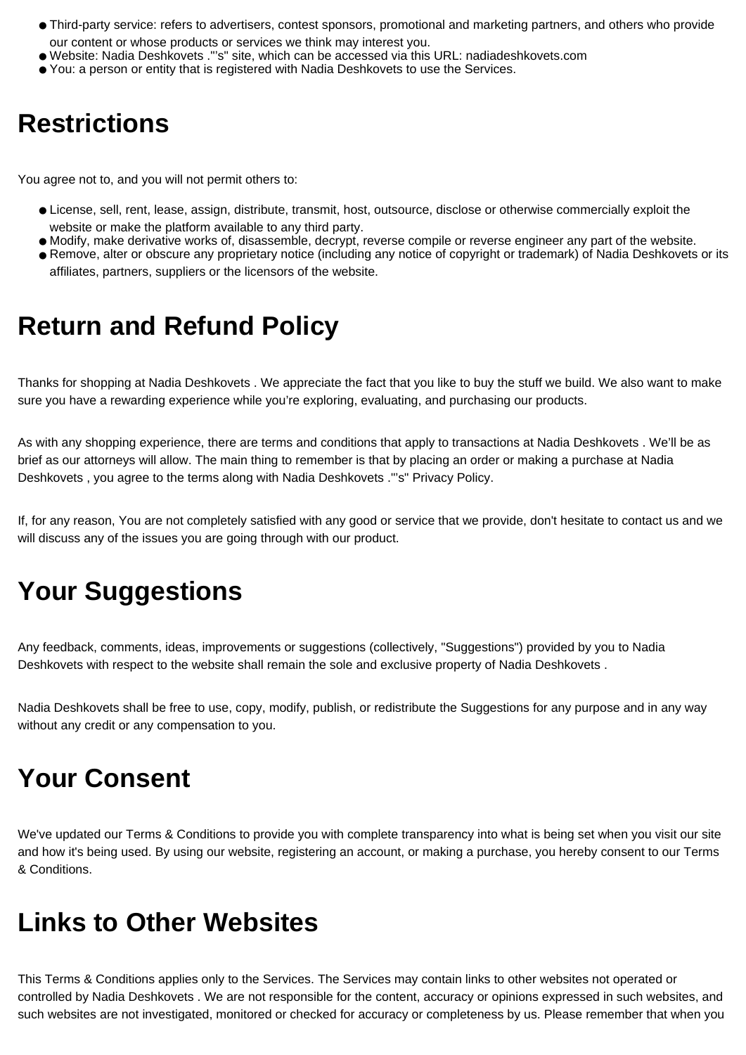- Third-party service: refers to advertisers, contest sponsors, promotional and marketing partners, and others who provide our content or whose products or services we think may interest you.
- Website: Nadia Deshkovets ."'s" site, which can be accessed via this URL: nadiadeshkovets.com
- You: a person or entity that is registered with Nadia Deshkovets to use the Services.

### **Restrictions**

You agree not to, and you will not permit others to:

- License, sell, rent, lease, assign, distribute, transmit, host, outsource, disclose or otherwise commercially exploit the website or make the platform available to any third party.
- Modify, make derivative works of, disassemble, decrypt, reverse compile or reverse engineer any part of the website.
- Remove, alter or obscure any proprietary notice (including any notice of copyright or trademark) of Nadia Deshkovets or its affiliates, partners, suppliers or the licensors of the website.

### **Return and Refund Policy**

Thanks for shopping at Nadia Deshkovets . We appreciate the fact that you like to buy the stuff we build. We also want to make sure you have a rewarding experience while you're exploring, evaluating, and purchasing our products.

As with any shopping experience, there are terms and conditions that apply to transactions at Nadia Deshkovets . We'll be as brief as our attorneys will allow. The main thing to remember is that by placing an order or making a purchase at Nadia Deshkovets , you agree to the terms along with Nadia Deshkovets ."'s" Privacy Policy.

If, for any reason, You are not completely satisfied with any good or service that we provide, don't hesitate to contact us and we will discuss any of the issues you are going through with our product.

# **Your Suggestions**

Any feedback, comments, ideas, improvements or suggestions (collectively, "Suggestions") provided by you to Nadia Deshkovets with respect to the website shall remain the sole and exclusive property of Nadia Deshkovets .

Nadia Deshkovets shall be free to use, copy, modify, publish, or redistribute the Suggestions for any purpose and in any way without any credit or any compensation to you.

### **Your Consent**

We've updated our Terms & Conditions to provide you with complete transparency into what is being set when you visit our site and how it's being used. By using our website, registering an account, or making a purchase, you hereby consent to our Terms & Conditions.

#### **Links to Other Websites**

This Terms & Conditions applies only to the Services. The Services may contain links to other websites not operated or controlled by Nadia Deshkovets . We are not responsible for the content, accuracy or opinions expressed in such websites, and such websites are not investigated, monitored or checked for accuracy or completeness by us. Please remember that when you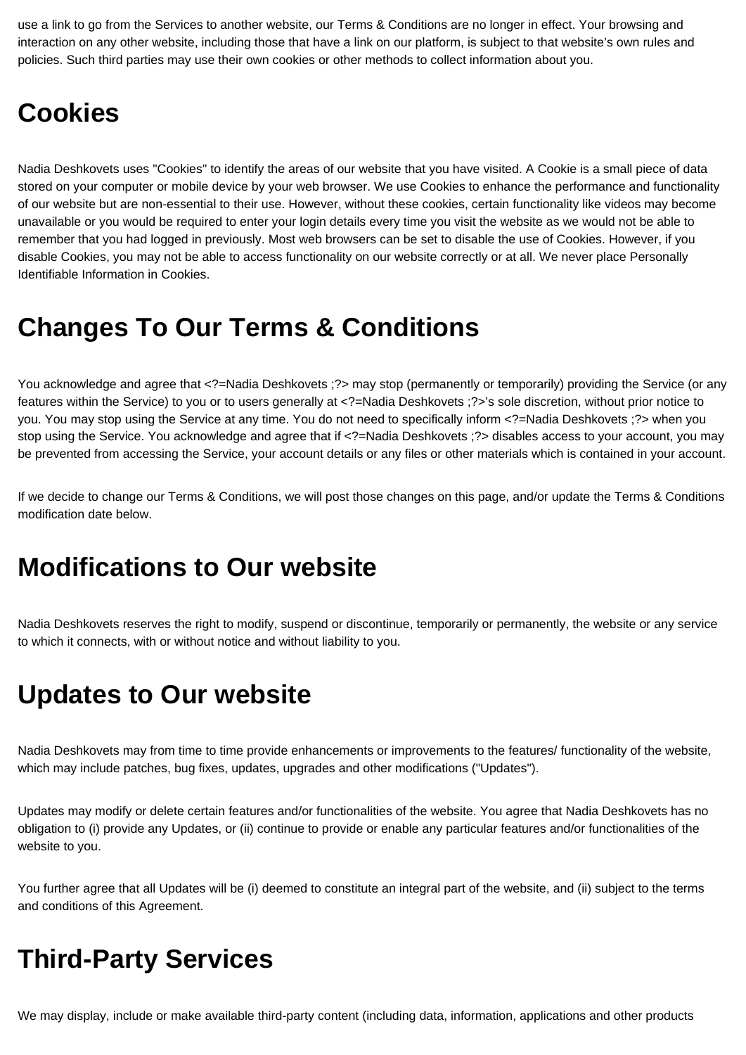use a link to go from the Services to another website, our Terms & Conditions are no longer in effect. Your browsing and interaction on any other website, including those that have a link on our platform, is subject to that website's own rules and policies. Such third parties may use their own cookies or other methods to collect information about you.

### **Cookies**

Nadia Deshkovets uses "Cookies" to identify the areas of our website that you have visited. A Cookie is a small piece of data stored on your computer or mobile device by your web browser. We use Cookies to enhance the performance and functionality of our website but are non-essential to their use. However, without these cookies, certain functionality like videos may become unavailable or you would be required to enter your login details every time you visit the website as we would not be able to remember that you had logged in previously. Most web browsers can be set to disable the use of Cookies. However, if you disable Cookies, you may not be able to access functionality on our website correctly or at all. We never place Personally Identifiable Information in Cookies.

### **Changes To Our Terms & Conditions**

You acknowledge and agree that <?=Nadia Deshkovets ;?> may stop (permanently or temporarily) providing the Service (or any features within the Service) to you or to users generally at <?=Nadia Deshkovets ;?>'s sole discretion, without prior notice to you. You may stop using the Service at any time. You do not need to specifically inform <?=Nadia Deshkovets ;?> when you stop using the Service. You acknowledge and agree that if <?=Nadia Deshkovets ;?> disables access to your account, you may be prevented from accessing the Service, your account details or any files or other materials which is contained in your account.

If we decide to change our Terms & Conditions, we will post those changes on this page, and/or update the Terms & Conditions modification date below.

#### **Modifications to Our website**

Nadia Deshkovets reserves the right to modify, suspend or discontinue, temporarily or permanently, the website or any service to which it connects, with or without notice and without liability to you.

#### **Updates to Our website**

Nadia Deshkovets may from time to time provide enhancements or improvements to the features/ functionality of the website, which may include patches, bug fixes, updates, upgrades and other modifications ("Updates").

Updates may modify or delete certain features and/or functionalities of the website. You agree that Nadia Deshkovets has no obligation to (i) provide any Updates, or (ii) continue to provide or enable any particular features and/or functionalities of the website to you.

You further agree that all Updates will be (i) deemed to constitute an integral part of the website, and (ii) subject to the terms and conditions of this Agreement.

#### **Third-Party Services**

We may display, include or make available third-party content (including data, information, applications and other products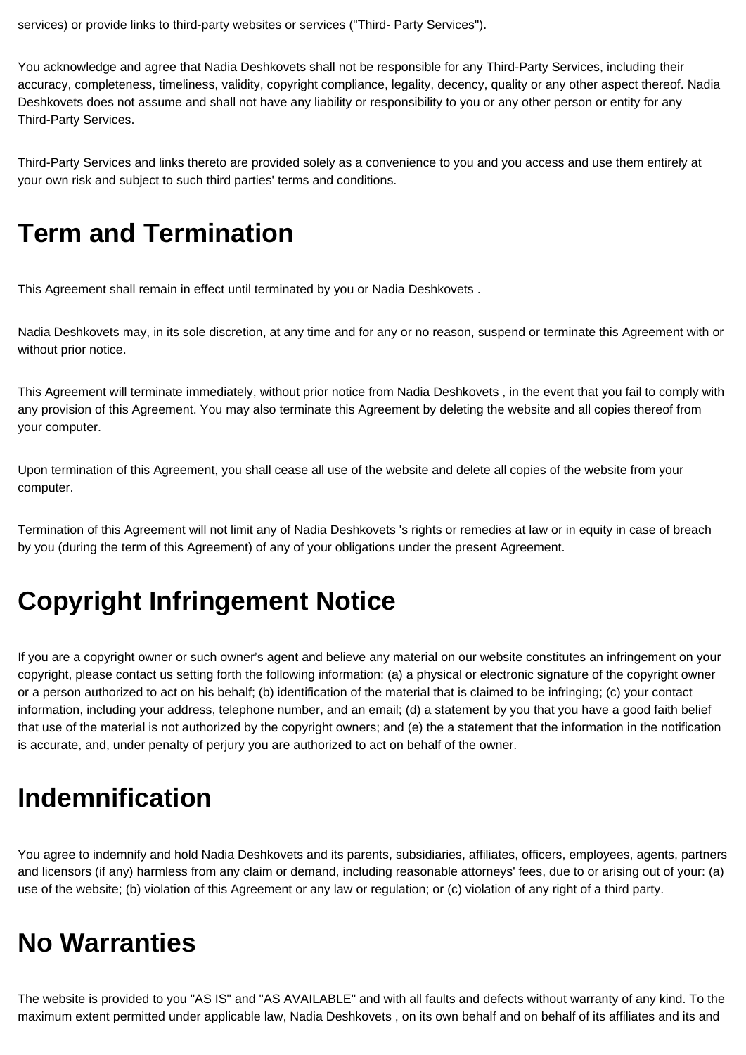services) or provide links to third-party websites or services ("Third- Party Services").

You acknowledge and agree that Nadia Deshkovets shall not be responsible for any Third-Party Services, including their accuracy, completeness, timeliness, validity, copyright compliance, legality, decency, quality or any other aspect thereof. Nadia Deshkovets does not assume and shall not have any liability or responsibility to you or any other person or entity for any Third-Party Services.

Third-Party Services and links thereto are provided solely as a convenience to you and you access and use them entirely at your own risk and subject to such third parties' terms and conditions.

### **Term and Termination**

This Agreement shall remain in effect until terminated by you or Nadia Deshkovets .

Nadia Deshkovets may, in its sole discretion, at any time and for any or no reason, suspend or terminate this Agreement with or without prior notice.

This Agreement will terminate immediately, without prior notice from Nadia Deshkovets , in the event that you fail to comply with any provision of this Agreement. You may also terminate this Agreement by deleting the website and all copies thereof from your computer.

Upon termination of this Agreement, you shall cease all use of the website and delete all copies of the website from your computer.

Termination of this Agreement will not limit any of Nadia Deshkovets 's rights or remedies at law or in equity in case of breach by you (during the term of this Agreement) of any of your obligations under the present Agreement.

## **Copyright Infringement Notice**

If you are a copyright owner or such owner's agent and believe any material on our website constitutes an infringement on your copyright, please contact us setting forth the following information: (a) a physical or electronic signature of the copyright owner or a person authorized to act on his behalf; (b) identification of the material that is claimed to be infringing; (c) your contact information, including your address, telephone number, and an email; (d) a statement by you that you have a good faith belief that use of the material is not authorized by the copyright owners; and (e) the a statement that the information in the notification is accurate, and, under penalty of perjury you are authorized to act on behalf of the owner.

### **Indemnification**

You agree to indemnify and hold Nadia Deshkovets and its parents, subsidiaries, affiliates, officers, employees, agents, partners and licensors (if any) harmless from any claim or demand, including reasonable attorneys' fees, due to or arising out of your: (a) use of the website; (b) violation of this Agreement or any law or regulation; or (c) violation of any right of a third party.

## **No Warranties**

The website is provided to you "AS IS" and "AS AVAILABLE" and with all faults and defects without warranty of any kind. To the maximum extent permitted under applicable law, Nadia Deshkovets , on its own behalf and on behalf of its affiliates and its and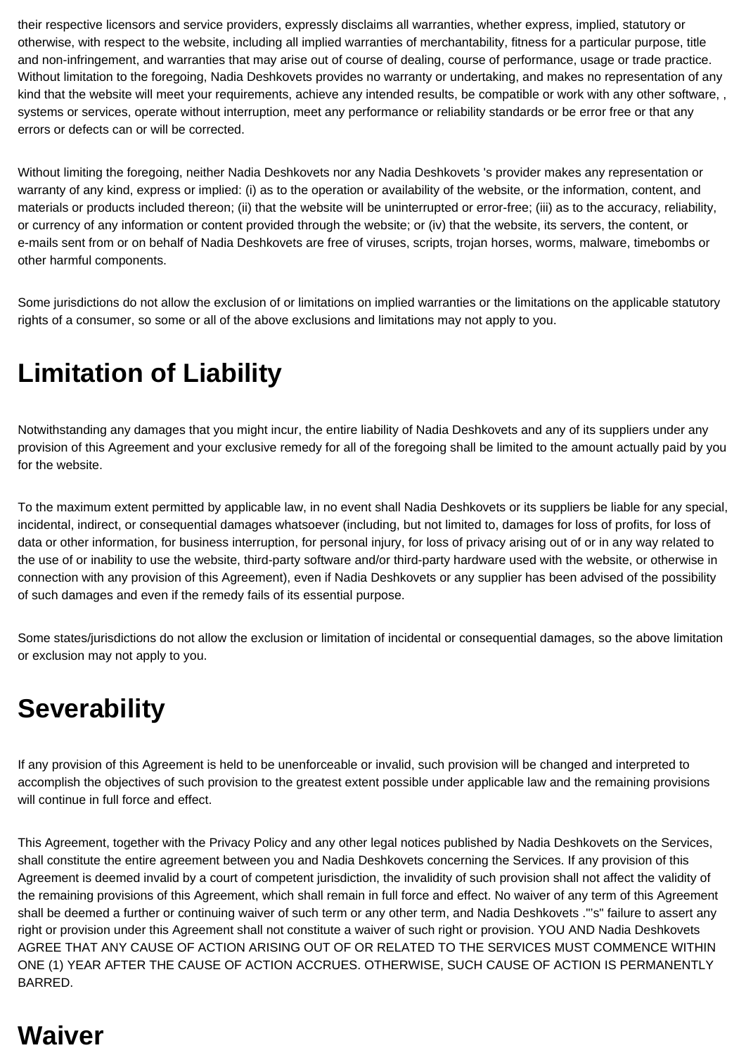their respective licensors and service providers, expressly disclaims all warranties, whether express, implied, statutory or otherwise, with respect to the website, including all implied warranties of merchantability, fitness for a particular purpose, title and non-infringement, and warranties that may arise out of course of dealing, course of performance, usage or trade practice. Without limitation to the foregoing, Nadia Deshkovets provides no warranty or undertaking, and makes no representation of any kind that the website will meet your requirements, achieve any intended results, be compatible or work with any other software, , systems or services, operate without interruption, meet any performance or reliability standards or be error free or that any errors or defects can or will be corrected.

Without limiting the foregoing, neither Nadia Deshkovets nor any Nadia Deshkovets 's provider makes any representation or warranty of any kind, express or implied: (i) as to the operation or availability of the website, or the information, content, and materials or products included thereon; (ii) that the website will be uninterrupted or error-free; (iii) as to the accuracy, reliability, or currency of any information or content provided through the website; or (iv) that the website, its servers, the content, or e-mails sent from or on behalf of Nadia Deshkovets are free of viruses, scripts, trojan horses, worms, malware, timebombs or other harmful components.

Some jurisdictions do not allow the exclusion of or limitations on implied warranties or the limitations on the applicable statutory rights of a consumer, so some or all of the above exclusions and limitations may not apply to you.

# **Limitation of Liability**

Notwithstanding any damages that you might incur, the entire liability of Nadia Deshkovets and any of its suppliers under any provision of this Agreement and your exclusive remedy for all of the foregoing shall be limited to the amount actually paid by you for the website.

To the maximum extent permitted by applicable law, in no event shall Nadia Deshkovets or its suppliers be liable for any special, incidental, indirect, or consequential damages whatsoever (including, but not limited to, damages for loss of profits, for loss of data or other information, for business interruption, for personal injury, for loss of privacy arising out of or in any way related to the use of or inability to use the website, third-party software and/or third-party hardware used with the website, or otherwise in connection with any provision of this Agreement), even if Nadia Deshkovets or any supplier has been advised of the possibility of such damages and even if the remedy fails of its essential purpose.

Some states/jurisdictions do not allow the exclusion or limitation of incidental or consequential damages, so the above limitation or exclusion may not apply to you.

## **Severability**

If any provision of this Agreement is held to be unenforceable or invalid, such provision will be changed and interpreted to accomplish the objectives of such provision to the greatest extent possible under applicable law and the remaining provisions will continue in full force and effect.

This Agreement, together with the Privacy Policy and any other legal notices published by Nadia Deshkovets on the Services, shall constitute the entire agreement between you and Nadia Deshkovets concerning the Services. If any provision of this Agreement is deemed invalid by a court of competent jurisdiction, the invalidity of such provision shall not affect the validity of the remaining provisions of this Agreement, which shall remain in full force and effect. No waiver of any term of this Agreement shall be deemed a further or continuing waiver of such term or any other term, and Nadia Deshkovets ."'s" failure to assert any right or provision under this Agreement shall not constitute a waiver of such right or provision. YOU AND Nadia Deshkovets AGREE THAT ANY CAUSE OF ACTION ARISING OUT OF OR RELATED TO THE SERVICES MUST COMMENCE WITHIN ONE (1) YEAR AFTER THE CAUSE OF ACTION ACCRUES. OTHERWISE, SUCH CAUSE OF ACTION IS PERMANENTLY BARRED.

## **Waiver**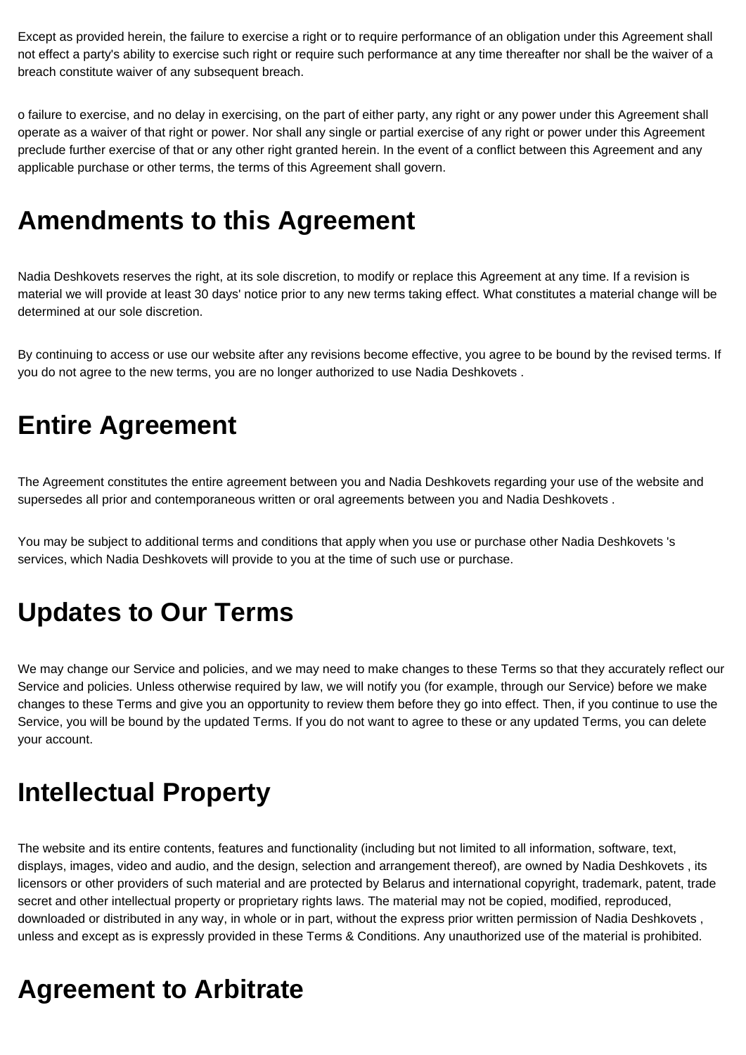Except as provided herein, the failure to exercise a right or to require performance of an obligation under this Agreement shall not effect a party's ability to exercise such right or require such performance at any time thereafter nor shall be the waiver of a breach constitute waiver of any subsequent breach.

o failure to exercise, and no delay in exercising, on the part of either party, any right or any power under this Agreement shall operate as a waiver of that right or power. Nor shall any single or partial exercise of any right or power under this Agreement preclude further exercise of that or any other right granted herein. In the event of a conflict between this Agreement and any applicable purchase or other terms, the terms of this Agreement shall govern.

### **Amendments to this Agreement**

Nadia Deshkovets reserves the right, at its sole discretion, to modify or replace this Agreement at any time. If a revision is material we will provide at least 30 days' notice prior to any new terms taking effect. What constitutes a material change will be determined at our sole discretion.

By continuing to access or use our website after any revisions become effective, you agree to be bound by the revised terms. If you do not agree to the new terms, you are no longer authorized to use Nadia Deshkovets .

### **Entire Agreement**

The Agreement constitutes the entire agreement between you and Nadia Deshkovets regarding your use of the website and supersedes all prior and contemporaneous written or oral agreements between you and Nadia Deshkovets .

You may be subject to additional terms and conditions that apply when you use or purchase other Nadia Deshkovets 's services, which Nadia Deshkovets will provide to you at the time of such use or purchase.

## **Updates to Our Terms**

We may change our Service and policies, and we may need to make changes to these Terms so that they accurately reflect our Service and policies. Unless otherwise required by law, we will notify you (for example, through our Service) before we make changes to these Terms and give you an opportunity to review them before they go into effect. Then, if you continue to use the Service, you will be bound by the updated Terms. If you do not want to agree to these or any updated Terms, you can delete your account.

### **Intellectual Property**

The website and its entire contents, features and functionality (including but not limited to all information, software, text, displays, images, video and audio, and the design, selection and arrangement thereof), are owned by Nadia Deshkovets , its licensors or other providers of such material and are protected by Belarus and international copyright, trademark, patent, trade secret and other intellectual property or proprietary rights laws. The material may not be copied, modified, reproduced, downloaded or distributed in any way, in whole or in part, without the express prior written permission of Nadia Deshkovets , unless and except as is expressly provided in these Terms & Conditions. Any unauthorized use of the material is prohibited.

### **Agreement to Arbitrate**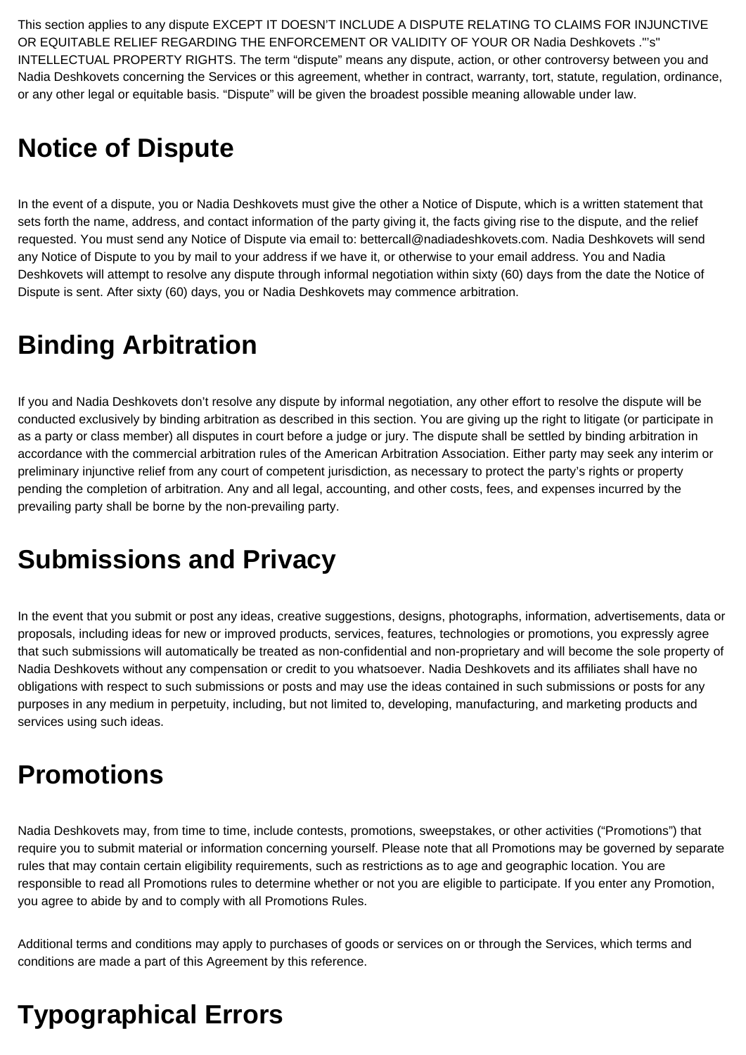This section applies to any dispute EXCEPT IT DOESN'T INCLUDE A DISPUTE RELATING TO CLAIMS FOR INJUNCTIVE OR EQUITABLE RELIEF REGARDING THE ENFORCEMENT OR VALIDITY OF YOUR OR Nadia Deshkovets ."'s" INTELLECTUAL PROPERTY RIGHTS. The term "dispute" means any dispute, action, or other controversy between you and Nadia Deshkovets concerning the Services or this agreement, whether in contract, warranty, tort, statute, regulation, ordinance, or any other legal or equitable basis. "Dispute" will be given the broadest possible meaning allowable under law.

## **Notice of Dispute**

In the event of a dispute, you or Nadia Deshkovets must give the other a Notice of Dispute, which is a written statement that sets forth the name, address, and contact information of the party giving it, the facts giving rise to the dispute, and the relief requested. You must send any Notice of Dispute via email to: bettercall@nadiadeshkovets.com. Nadia Deshkovets will send any Notice of Dispute to you by mail to your address if we have it, or otherwise to your email address. You and Nadia Deshkovets will attempt to resolve any dispute through informal negotiation within sixty (60) days from the date the Notice of Dispute is sent. After sixty (60) days, you or Nadia Deshkovets may commence arbitration.

# **Binding Arbitration**

If you and Nadia Deshkovets don't resolve any dispute by informal negotiation, any other effort to resolve the dispute will be conducted exclusively by binding arbitration as described in this section. You are giving up the right to litigate (or participate in as a party or class member) all disputes in court before a judge or jury. The dispute shall be settled by binding arbitration in accordance with the commercial arbitration rules of the American Arbitration Association. Either party may seek any interim or preliminary injunctive relief from any court of competent jurisdiction, as necessary to protect the party's rights or property pending the completion of arbitration. Any and all legal, accounting, and other costs, fees, and expenses incurred by the prevailing party shall be borne by the non-prevailing party.

### **Submissions and Privacy**

In the event that you submit or post any ideas, creative suggestions, designs, photographs, information, advertisements, data or proposals, including ideas for new or improved products, services, features, technologies or promotions, you expressly agree that such submissions will automatically be treated as non-confidential and non-proprietary and will become the sole property of Nadia Deshkovets without any compensation or credit to you whatsoever. Nadia Deshkovets and its affiliates shall have no obligations with respect to such submissions or posts and may use the ideas contained in such submissions or posts for any purposes in any medium in perpetuity, including, but not limited to, developing, manufacturing, and marketing products and services using such ideas.

# **Promotions**

Nadia Deshkovets may, from time to time, include contests, promotions, sweepstakes, or other activities ("Promotions") that require you to submit material or information concerning yourself. Please note that all Promotions may be governed by separate rules that may contain certain eligibility requirements, such as restrictions as to age and geographic location. You are responsible to read all Promotions rules to determine whether or not you are eligible to participate. If you enter any Promotion, you agree to abide by and to comply with all Promotions Rules.

Additional terms and conditions may apply to purchases of goods or services on or through the Services, which terms and conditions are made a part of this Agreement by this reference.

# **Typographical Errors**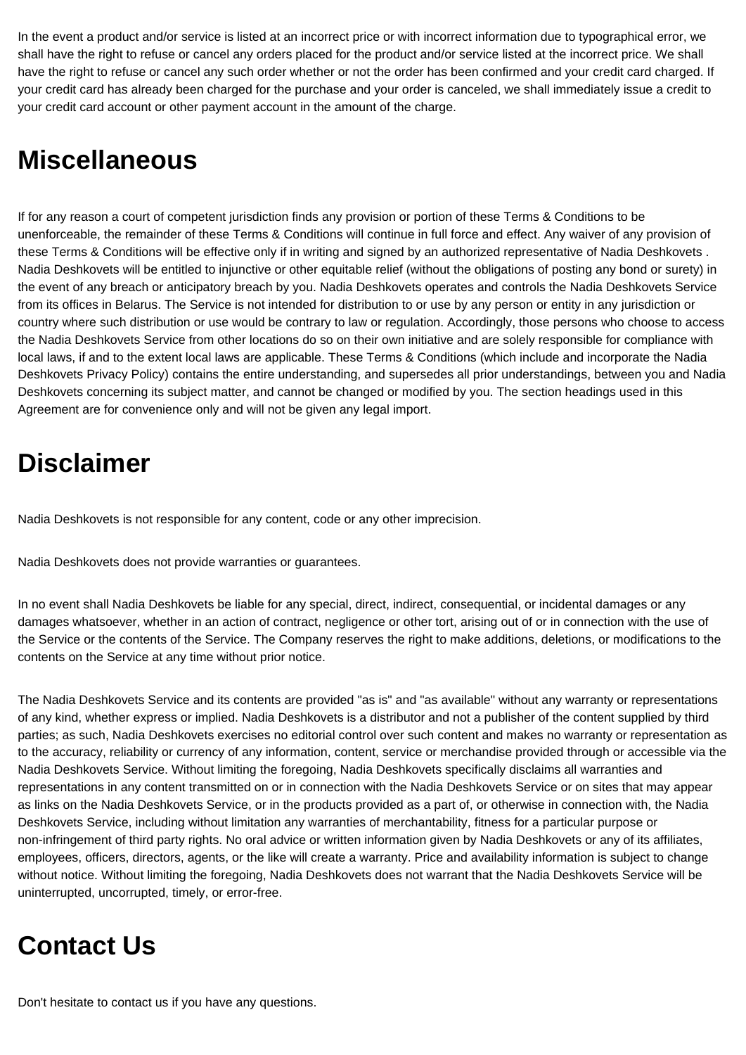In the event a product and/or service is listed at an incorrect price or with incorrect information due to typographical error, we shall have the right to refuse or cancel any orders placed for the product and/or service listed at the incorrect price. We shall have the right to refuse or cancel any such order whether or not the order has been confirmed and your credit card charged. If your credit card has already been charged for the purchase and your order is canceled, we shall immediately issue a credit to your credit card account or other payment account in the amount of the charge.

### **Miscellaneous**

If for any reason a court of competent jurisdiction finds any provision or portion of these Terms & Conditions to be unenforceable, the remainder of these Terms & Conditions will continue in full force and effect. Any waiver of any provision of these Terms & Conditions will be effective only if in writing and signed by an authorized representative of Nadia Deshkovets . Nadia Deshkovets will be entitled to injunctive or other equitable relief (without the obligations of posting any bond or surety) in the event of any breach or anticipatory breach by you. Nadia Deshkovets operates and controls the Nadia Deshkovets Service from its offices in Belarus. The Service is not intended for distribution to or use by any person or entity in any jurisdiction or country where such distribution or use would be contrary to law or regulation. Accordingly, those persons who choose to access the Nadia Deshkovets Service from other locations do so on their own initiative and are solely responsible for compliance with local laws, if and to the extent local laws are applicable. These Terms & Conditions (which include and incorporate the Nadia Deshkovets Privacy Policy) contains the entire understanding, and supersedes all prior understandings, between you and Nadia Deshkovets concerning its subject matter, and cannot be changed or modified by you. The section headings used in this Agreement are for convenience only and will not be given any legal import.

# **Disclaimer**

Nadia Deshkovets is not responsible for any content, code or any other imprecision.

Nadia Deshkovets does not provide warranties or guarantees.

In no event shall Nadia Deshkovets be liable for any special, direct, indirect, consequential, or incidental damages or any damages whatsoever, whether in an action of contract, negligence or other tort, arising out of or in connection with the use of the Service or the contents of the Service. The Company reserves the right to make additions, deletions, or modifications to the contents on the Service at any time without prior notice.

The Nadia Deshkovets Service and its contents are provided "as is" and "as available" without any warranty or representations of any kind, whether express or implied. Nadia Deshkovets is a distributor and not a publisher of the content supplied by third parties; as such, Nadia Deshkovets exercises no editorial control over such content and makes no warranty or representation as to the accuracy, reliability or currency of any information, content, service or merchandise provided through or accessible via the Nadia Deshkovets Service. Without limiting the foregoing, Nadia Deshkovets specifically disclaims all warranties and representations in any content transmitted on or in connection with the Nadia Deshkovets Service or on sites that may appear as links on the Nadia Deshkovets Service, or in the products provided as a part of, or otherwise in connection with, the Nadia Deshkovets Service, including without limitation any warranties of merchantability, fitness for a particular purpose or non-infringement of third party rights. No oral advice or written information given by Nadia Deshkovets or any of its affiliates, employees, officers, directors, agents, or the like will create a warranty. Price and availability information is subject to change without notice. Without limiting the foregoing, Nadia Deshkovets does not warrant that the Nadia Deshkovets Service will be uninterrupted, uncorrupted, timely, or error-free.

# **Contact Us**

Don't hesitate to contact us if you have any questions.